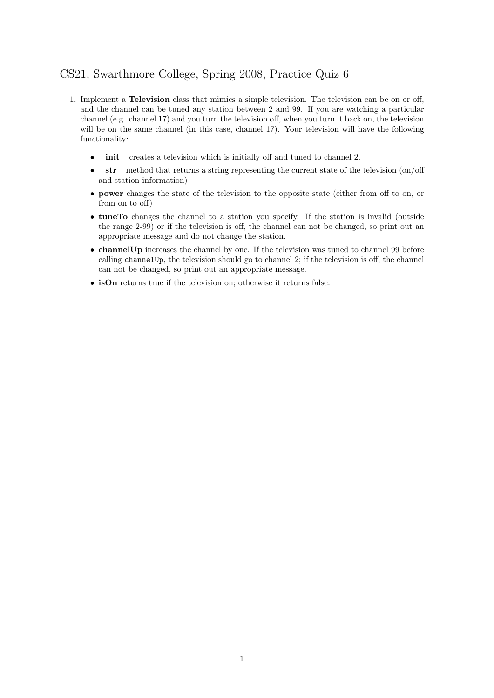## CS21, Swarthmore College, Spring 2008, Practice Quiz 6

- 1. Implement a Television class that mimics a simple television. The television can be on or off, and the channel can be tuned any station between 2 and 99. If you are watching a particular channel (e.g. channel 17) and you turn the television off, when you turn it back on, the television will be on the same channel (in this case, channel 17). Your television will have the following functionality:
	- $\bullet$   $\_\_init\_\_$  creates a television which is initially off and tuned to channel 2.
	- $\bullet$   $\_strut$  str  $\_$  method that returns a string representing the current state of the television (on/off and station information)
	- power changes the state of the television to the opposite state (either from off to on, or from on to off)
	- tuneTo changes the channel to a station you specify. If the station is invalid (outside the range 2-99) or if the television is off, the channel can not be changed, so print out an appropriate message and do not change the station.
	- channel Up increases the channel by one. If the television was tuned to channel 99 before calling channelUp, the television should go to channel 2; if the television is off, the channel can not be changed, so print out an appropriate message.
	- isOn returns true if the television on; otherwise it returns false.